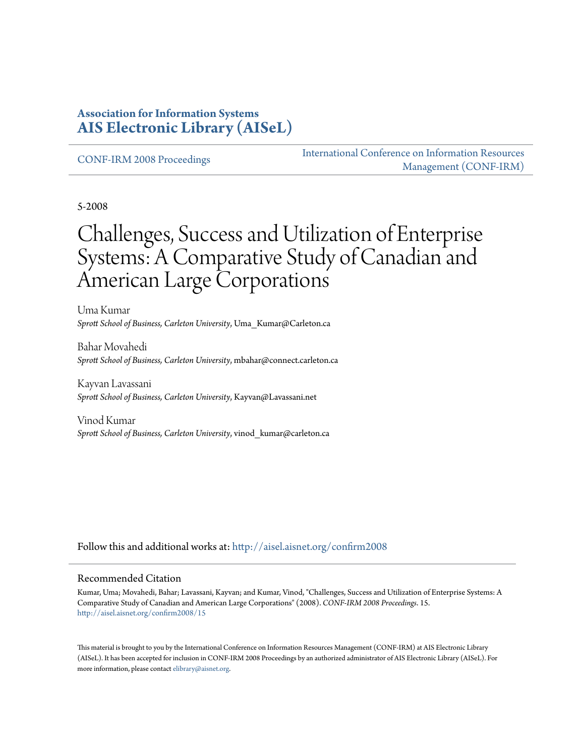#### **Association for Information Systems [AIS Electronic Library \(AISeL\)](http://aisel.aisnet.org?utm_source=aisel.aisnet.org%2Fconfirm2008%2F15&utm_medium=PDF&utm_campaign=PDFCoverPages)**

[CONF-IRM 2008 Proceedings](http://aisel.aisnet.org/confirm2008?utm_source=aisel.aisnet.org%2Fconfirm2008%2F15&utm_medium=PDF&utm_campaign=PDFCoverPages)

[International Conference on Information Resources](http://aisel.aisnet.org/conf-irm?utm_source=aisel.aisnet.org%2Fconfirm2008%2F15&utm_medium=PDF&utm_campaign=PDFCoverPages) [Management \(CONF-IRM\)](http://aisel.aisnet.org/conf-irm?utm_source=aisel.aisnet.org%2Fconfirm2008%2F15&utm_medium=PDF&utm_campaign=PDFCoverPages)

5-2008

# Challenges, Success and Utilization of Enterprise Systems: A Comparative Study of Canadian and American Large Corporations

Uma Kumar *Sprott School of Business, Carleton University*, Uma\_Kumar@Carleton.ca

Bahar Movahedi *Sprott School of Business, Carleton University*, mbahar@connect.carleton.ca

Kayvan Lavassani *Sprott School of Business, Carleton University*, Kayvan@Lavassani.net

Vinod Kumar *Sprott School of Business, Carleton University*, vinod\_kumar@carleton.ca

Follow this and additional works at: [http://aisel.aisnet.org/confirm2008](http://aisel.aisnet.org/confirm2008?utm_source=aisel.aisnet.org%2Fconfirm2008%2F15&utm_medium=PDF&utm_campaign=PDFCoverPages)

#### Recommended Citation

Kumar, Uma; Movahedi, Bahar; Lavassani, Kayvan; and Kumar, Vinod, "Challenges, Success and Utilization of Enterprise Systems: A Comparative Study of Canadian and American Large Corporations" (2008). *CONF-IRM 2008 Proceedings*. 15. [http://aisel.aisnet.org/confirm2008/15](http://aisel.aisnet.org/confirm2008/15?utm_source=aisel.aisnet.org%2Fconfirm2008%2F15&utm_medium=PDF&utm_campaign=PDFCoverPages)

This material is brought to you by the International Conference on Information Resources Management (CONF-IRM) at AIS Electronic Library (AISeL). It has been accepted for inclusion in CONF-IRM 2008 Proceedings by an authorized administrator of AIS Electronic Library (AISeL). For more information, please contact [elibrary@aisnet.org.](mailto:elibrary@aisnet.org%3E)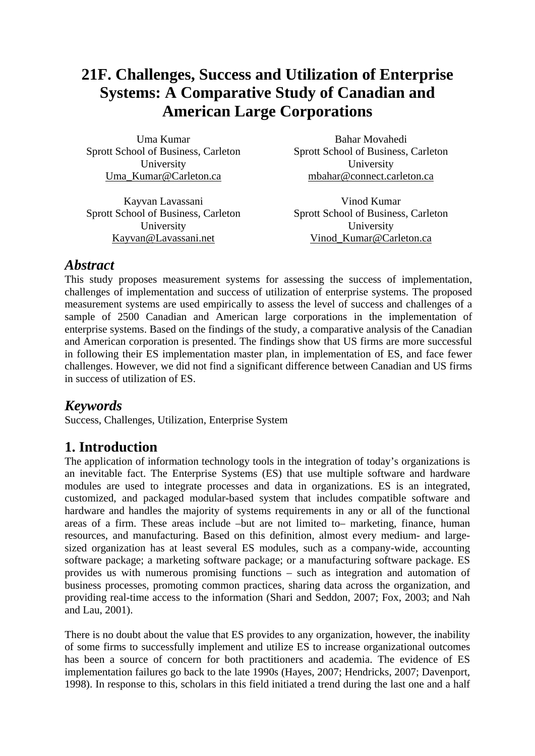## **21F. Challenges, Success and Utilization of Enterprise Systems: A Comparative Study of Canadian and American Large Corporations**

Uma Kumar Sprott School of Business, Carleton University Uma\_Kumar@Carleton.ca

Kayvan Lavassani Sprott School of Business, Carleton University Kayvan@Lavassani.net

Bahar Movahedi Sprott School of Business, Carleton University mbahar@connect.carleton.ca

Vinod Kumar Sprott School of Business, Carleton University Vinod\_Kumar@Carleton.ca

## *Abstract*

This study proposes measurement systems for assessing the success of implementation, challenges of implementation and success of utilization of enterprise systems. The proposed measurement systems are used empirically to assess the level of success and challenges of a sample of 2500 Canadian and American large corporations in the implementation of enterprise systems. Based on the findings of the study, a comparative analysis of the Canadian and American corporation is presented. The findings show that US firms are more successful in following their ES implementation master plan, in implementation of ES, and face fewer challenges. However, we did not find a significant difference between Canadian and US firms in success of utilization of ES.

## *Keywords*

Success, Challenges, Utilization, Enterprise System

## **1. Introduction**

The application of information technology tools in the integration of today's organizations is an inevitable fact. The Enterprise Systems (ES) that use multiple software and hardware modules are used to integrate processes and data in organizations. ES is an integrated, customized, and packaged modular-based system that includes compatible software and hardware and handles the majority of systems requirements in any or all of the functional areas of a firm. These areas include –but are not limited to– marketing, finance, human resources, and manufacturing. Based on this definition, almost every medium- and largesized organization has at least several ES modules, such as a company-wide, accounting software package; a marketing software package; or a manufacturing software package. ES provides us with numerous promising functions – such as integration and automation of business processes, promoting common practices, sharing data across the organization, and providing real-time access to the information (Shari and Seddon, 2007; Fox, 2003; and Nah and Lau, 2001).

There is no doubt about the value that ES provides to any organization, however, the inability of some firms to successfully implement and utilize ES to increase organizational outcomes has been a source of concern for both practitioners and academia. The evidence of ES implementation failures go back to the late 1990s (Hayes, 2007; Hendricks, 2007; Davenport, 1998). In response to this, scholars in this field initiated a trend during the last one and a half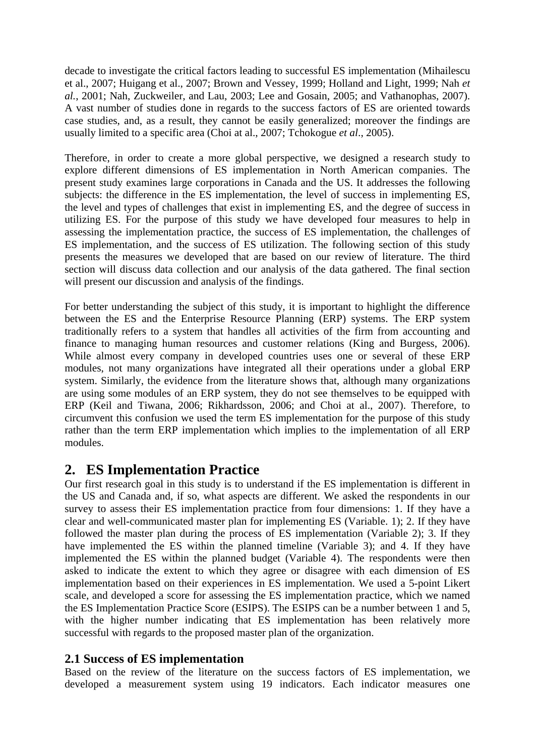decade to investigate the critical factors leading to successful ES implementation (Mihailescu et al., 2007; Huigang et al., 2007; Brown and Vessey, 1999; Holland and Light, 1999; Nah *et al.*, 2001; Nah, Zuckweiler, and Lau, 2003; Lee and Gosain, 2005; and Vathanophas, 2007). A vast number of studies done in regards to the success factors of ES are oriented towards case studies, and, as a result, they cannot be easily generalized; moreover the findings are usually limited to a specific area (Choi at al., 2007; Tchokogue *et al*., 2005).

Therefore, in order to create a more global perspective, we designed a research study to explore different dimensions of ES implementation in North American companies. The present study examines large corporations in Canada and the US. It addresses the following subjects: the difference in the ES implementation, the level of success in implementing ES, the level and types of challenges that exist in implementing ES, and the degree of success in utilizing ES. For the purpose of this study we have developed four measures to help in assessing the implementation practice, the success of ES implementation, the challenges of ES implementation, and the success of ES utilization. The following section of this study presents the measures we developed that are based on our review of literature. The third section will discuss data collection and our analysis of the data gathered. The final section will present our discussion and analysis of the findings.

For better understanding the subject of this study, it is important to highlight the difference between the ES and the Enterprise Resource Planning (ERP) systems. The ERP system traditionally refers to a system that handles all activities of the firm from accounting and finance to managing human resources and customer relations (King and Burgess, 2006). While almost every company in developed countries uses one or several of these ERP modules, not many organizations have integrated all their operations under a global ERP system. Similarly, the evidence from the literature shows that, although many organizations are using some modules of an ERP system, they do not see themselves to be equipped with ERP (Keil and Tiwana, 2006; Rikhardsson, 2006; and Choi at al., 2007). Therefore, to circumvent this confusion we used the term ES implementation for the purpose of this study rather than the term ERP implementation which implies to the implementation of all ERP modules.

## **2. ES Implementation Practice**

Our first research goal in this study is to understand if the ES implementation is different in the US and Canada and, if so, what aspects are different. We asked the respondents in our survey to assess their ES implementation practice from four dimensions: 1. If they have a clear and well-communicated master plan for implementing ES (Variable. 1); 2. If they have followed the master plan during the process of ES implementation (Variable 2); 3. If they have implemented the ES within the planned timeline (Variable 3); and 4. If they have implemented the ES within the planned budget (Variable 4). The respondents were then asked to indicate the extent to which they agree or disagree with each dimension of ES implementation based on their experiences in ES implementation. We used a 5-point Likert scale, and developed a score for assessing the ES implementation practice, which we named the ES Implementation Practice Score (ESIPS). The ESIPS can be a number between 1 and 5, with the higher number indicating that ES implementation has been relatively more successful with regards to the proposed master plan of the organization.

#### **2.1 Success of ES implementation**

Based on the review of the literature on the success factors of ES implementation, we developed a measurement system using 19 indicators. Each indicator measures one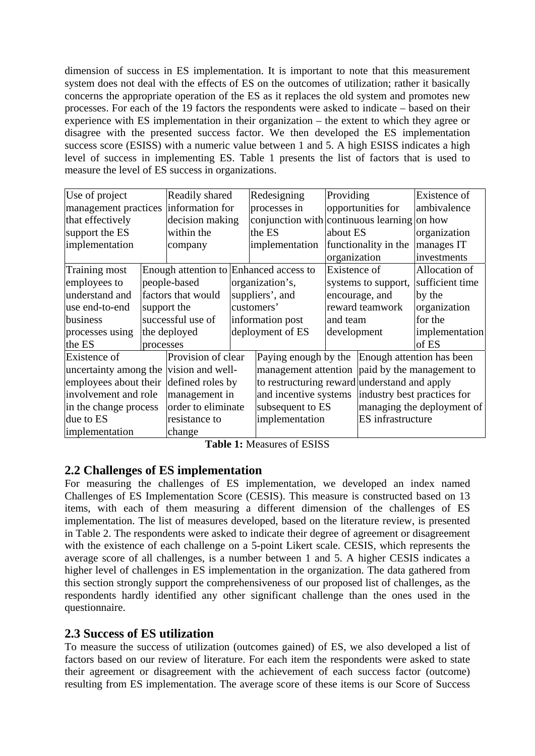dimension of success in ES implementation. It is important to note that this measurement system does not deal with the effects of ES on the outcomes of utilization; rather it basically concerns the appropriate operation of the ES as it replaces the old system and promotes new processes. For each of the 19 factors the respondents were asked to indicate – based on their experience with ES implementation in their organization – the extent to which they agree or disagree with the presented success factor. We then developed the ES implementation success score (ESISS) with a numeric value between 1 and 5. A high ESISS indicates a high level of success in implementing ES. Table 1 presents the list of factors that is used to measure the level of ES success in organizations.

| Use of project                         |                    | Readily shared                         |                  | Redesigning                                  | Providing                                      |                                                   | Existence of    |  |
|----------------------------------------|--------------------|----------------------------------------|------------------|----------------------------------------------|------------------------------------------------|---------------------------------------------------|-----------------|--|
| management practices information for   |                    |                                        |                  | processes in                                 | opportunities for                              |                                                   | ambivalence     |  |
| that effectively<br>decision making    |                    |                                        |                  | conjunction with continuous learning         |                                                | on how                                            |                 |  |
| support the ES                         | within the         |                                        |                  | the ES                                       | about ES                                       |                                                   | organization    |  |
| implementation                         |                    | company                                |                  | implementation                               | functionality in the                           |                                                   | manages IT      |  |
|                                        |                    |                                        |                  |                                              | organization                                   |                                                   | investments     |  |
| Training most                          |                    | Enough attention to Enhanced access to |                  |                                              | Existence of                                   |                                                   | Allocation of   |  |
| employees to                           |                    | people-based                           |                  | organization's,                              | systems to support,                            |                                                   | sufficient time |  |
| understand and                         | factors that would |                                        | suppliers', and  |                                              | encourage, and                                 |                                                   | by the          |  |
| use end-to-end<br>support the          |                    | customers'                             |                  | reward teamwork                              |                                                | organization                                      |                 |  |
| successful use of<br>business          |                    | information post                       |                  | and team                                     |                                                | for the                                           |                 |  |
| processes using                        | the deployed       |                                        | deployment of ES |                                              | development                                    |                                                   | implementation  |  |
| the ES<br>processes                    |                    |                                        |                  |                                              |                                                | of ES                                             |                 |  |
| Existence of                           |                    | Provision of clear                     |                  |                                              | Paying enough by the Enough attention has been |                                                   |                 |  |
| uncertainty among the vision and well- |                    |                                        |                  |                                              |                                                | management attention paid by the management to    |                 |  |
| employees about their defined roles by |                    |                                        |                  | to restructuring reward understand and apply |                                                |                                                   |                 |  |
| involvement and role                   |                    | management in                          |                  |                                              |                                                | and incentive systems industry best practices for |                 |  |
| in the change process                  |                    | order to eliminate                     |                  | subsequent to ES                             |                                                | managing the deployment of                        |                 |  |
| due to ES                              |                    | resistance to                          |                  | implementation                               |                                                | ES infrastructure                                 |                 |  |
| implementation                         |                    | change                                 |                  |                                              |                                                |                                                   |                 |  |

**Table 1:** Measures of ESISS

#### **2.2 Challenges of ES implementation**

For measuring the challenges of ES implementation, we developed an index named Challenges of ES Implementation Score (CESIS). This measure is constructed based on 13 items, with each of them measuring a different dimension of the challenges of ES implementation. The list of measures developed, based on the literature review, is presented in Table 2. The respondents were asked to indicate their degree of agreement or disagreement with the existence of each challenge on a 5-point Likert scale. CESIS, which represents the average score of all challenges, is a number between 1 and 5. A higher CESIS indicates a higher level of challenges in ES implementation in the organization. The data gathered from this section strongly support the comprehensiveness of our proposed list of challenges, as the respondents hardly identified any other significant challenge than the ones used in the questionnaire.

#### **2.3 Success of ES utilization**

To measure the success of utilization (outcomes gained) of ES, we also developed a list of factors based on our review of literature. For each item the respondents were asked to state their agreement or disagreement with the achievement of each success factor (outcome) resulting from ES implementation. The average score of these items is our Score of Success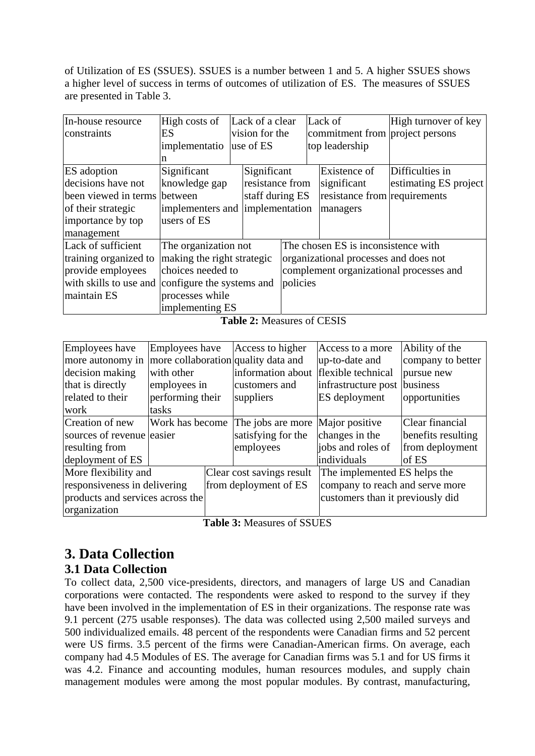of Utilization of ES (SSUES). SSUES is a number between 1 and 5. A higher SSUES shows a higher level of success in terms of outcomes of utilization of ES. The measures of SSUES are presented in Table 3.

| In-house resource            | High costs of                   |                | Lack of a clear                     |                                         | Lack of                         |                              | High turnover of key  |
|------------------------------|---------------------------------|----------------|-------------------------------------|-----------------------------------------|---------------------------------|------------------------------|-----------------------|
| constraints                  | ES                              | vision for the |                                     |                                         | commitment from project persons |                              |                       |
|                              | implementatio                   | use of ES      |                                     |                                         | top leadership                  |                              |                       |
|                              | n                               |                |                                     |                                         |                                 |                              |                       |
| <b>ES</b> adoption           | Significant                     |                | Significant                         |                                         |                                 | Existence of                 | Difficulties in       |
| decisions have not           | knowledge gap                   |                | resistance from                     |                                         |                                 | significant                  | estimating ES project |
| been viewed in terms between |                                 |                | staff during ES                     |                                         |                                 | resistance from requirements |                       |
| of their strategic           | implementers and implementation |                |                                     | managers                                |                                 |                              |                       |
| importance by top            | users of ES                     |                |                                     |                                         |                                 |                              |                       |
| management                   |                                 |                |                                     |                                         |                                 |                              |                       |
| Lack of sufficient           | The organization not            |                | The chosen ES is inconsistence with |                                         |                                 |                              |                       |
| training organized to        | making the right strategic      |                |                                     | organizational processes and does not   |                                 |                              |                       |
| provide employees            | choices needed to               |                |                                     | complement organizational processes and |                                 |                              |                       |
| with skills to use and       | configure the systems and       |                |                                     | policies                                |                                 |                              |                       |
| maintain ES                  | processes while                 |                |                                     |                                         |                                 |                              |                       |
|                              | implementing ES                 |                |                                     |                                         |                                 |                              |                       |

**Table 2:** Measures of CESIS

| Employees have                   | Employees have                      |                           | Access to higher      | Access to a more                 | Ability of the     |  |
|----------------------------------|-------------------------------------|---------------------------|-----------------------|----------------------------------|--------------------|--|
| more autonomy in                 | more collaboration quality data and |                           |                       | up-to-date and                   | company to better  |  |
| decision making                  | with other                          |                           | information about     | flexible technical               | pursue new         |  |
| that is directly                 | employees in                        |                           | customers and         | infrastructure post              | business           |  |
| related to their                 | performing their                    |                           | suppliers             | ES deployment                    | opportunities      |  |
| work                             | tasks                               |                           |                       |                                  |                    |  |
| Creation of new                  | Work has become                     |                           | The jobs are more     | Major positive                   | Clear financial    |  |
| sources of revenue easier        |                                     |                           | satisfying for the    | changes in the                   | benefits resulting |  |
| resulting from                   |                                     |                           | employees             | jobs and roles of                | from deployment    |  |
| deployment of ES                 |                                     |                           |                       | individuals                      | of ES              |  |
| More flexibility and             |                                     | Clear cost savings result |                       | The implemented ES helps the     |                    |  |
| responsiveness in delivering     |                                     |                           | from deployment of ES | company to reach and serve more  |                    |  |
| products and services across the |                                     |                           |                       | customers than it previously did |                    |  |
| organization                     |                                     |                           |                       |                                  |                    |  |

**Table 3:** Measures of SSUES

#### **3. Data Collection 3.1 Data Collection**

To collect data, 2,500 vice-presidents, directors, and managers of large US and Canadian corporations were contacted. The respondents were asked to respond to the survey if they have been involved in the implementation of ES in their organizations. The response rate was 9.1 percent (275 usable responses). The data was collected using 2,500 mailed surveys and 500 individualized emails. 48 percent of the respondents were Canadian firms and 52 percent were US firms. 3.5 percent of the firms were Canadian-American firms. On average, each company had 4.5 Modules of ES. The average for Canadian firms was 5.1 and for US firms it was 4.2. Finance and accounting modules, human resources modules, and supply chain management modules were among the most popular modules. By contrast, manufacturing,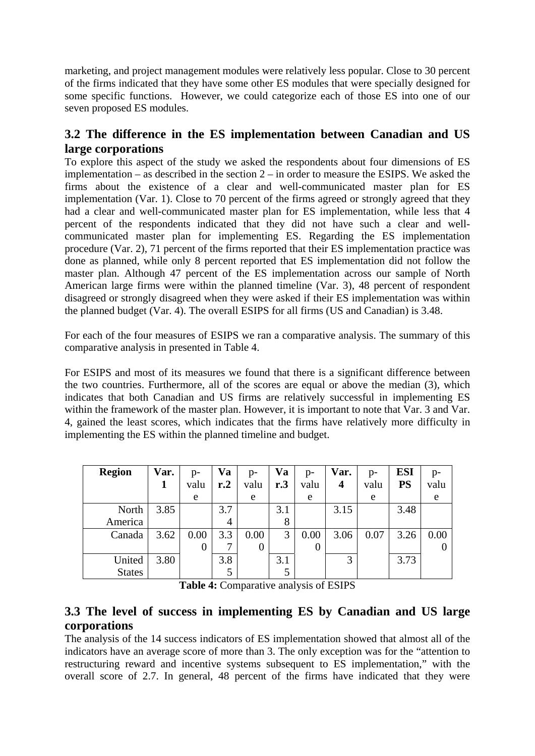marketing, and project management modules were relatively less popular. Close to 30 percent of the firms indicated that they have some other ES modules that were specially designed for some specific functions. However, we could categorize each of those ES into one of our seven proposed ES modules.

#### **3.2 The difference in the ES implementation between Canadian and US large corporations**

To explore this aspect of the study we asked the respondents about four dimensions of ES implementation – as described in the section 2 – in order to measure the ESIPS. We asked the firms about the existence of a clear and well-communicated master plan for ES implementation (Var. 1). Close to 70 percent of the firms agreed or strongly agreed that they had a clear and well-communicated master plan for ES implementation, while less that 4 percent of the respondents indicated that they did not have such a clear and wellcommunicated master plan for implementing ES. Regarding the ES implementation procedure (Var. 2), 71 percent of the firms reported that their ES implementation practice was done as planned, while only 8 percent reported that ES implementation did not follow the master plan. Although 47 percent of the ES implementation across our sample of North American large firms were within the planned timeline (Var. 3), 48 percent of respondent disagreed or strongly disagreed when they were asked if their ES implementation was within the planned budget (Var. 4). The overall ESIPS for all firms (US and Canadian) is 3.48.

For each of the four measures of ESIPS we ran a comparative analysis. The summary of this comparative analysis in presented in Table 4.

For ESIPS and most of its measures we found that there is a significant difference between the two countries. Furthermore, all of the scores are equal or above the median (3), which indicates that both Canadian and US firms are relatively successful in implementing ES within the framework of the master plan. However, it is important to note that Var. 3 and Var. 4, gained the least scores, which indicates that the firms have relatively more difficulty in implementing the ES within the planned timeline and budget.

| <b>Region</b> | Var. | p-   | Va               | $p-$ | Va             | $p-$ | Var. | $p-$ | ESI       | $p-$ |
|---------------|------|------|------------------|------|----------------|------|------|------|-----------|------|
|               |      | valu | r <sub>1</sub> 2 | valu | r <sub>3</sub> | valu | 4    | valu | <b>PS</b> | valu |
|               |      | e    |                  | e    |                | e    |      | e    |           | e    |
| North         | 3.85 |      | 3.7              |      | 3.1            |      | 3.15 |      | 3.48      |      |
| America       |      |      | 4                |      |                |      |      |      |           |      |
| Canada        | 3.62 | 0.00 | 3.3              | 0.00 | 3              | 0.00 | 3.06 | 0.07 | 3.26      | 0.00 |
|               |      | 0    |                  | 0    |                |      |      |      |           |      |
| United        | 3.80 |      | 3.8              |      | 3.1            |      | 3    |      | 3.73      |      |
| <b>States</b> |      |      |                  |      |                |      |      |      |           |      |

**Table 4:** Comparative analysis of ESIPS

#### **3.3 The level of success in implementing ES by Canadian and US large corporations**

The analysis of the 14 success indicators of ES implementation showed that almost all of the indicators have an average score of more than 3. The only exception was for the "attention to restructuring reward and incentive systems subsequent to ES implementation," with the overall score of 2.7. In general, 48 percent of the firms have indicated that they were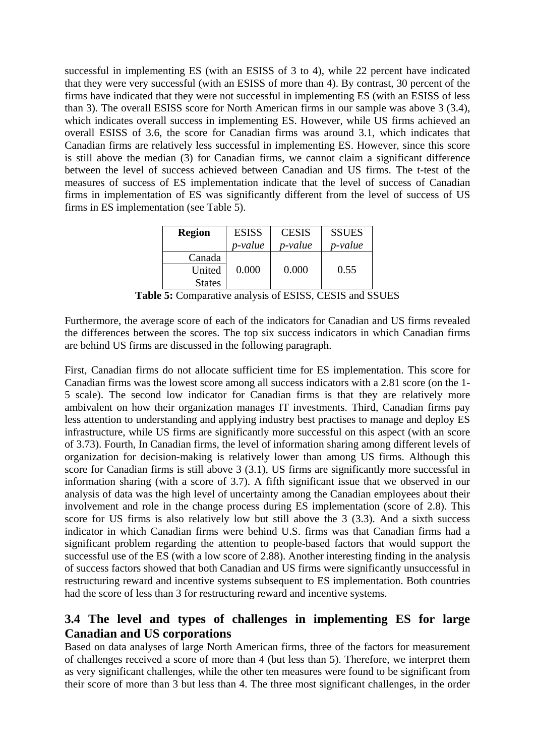successful in implementing ES (with an ESISS of 3 to 4), while 22 percent have indicated that they were very successful (with an ESISS of more than 4). By contrast, 30 percent of the firms have indicated that they were not successful in implementing ES (with an ESISS of less than 3). The overall ESISS score for North American firms in our sample was above 3 (3.4), which indicates overall success in implementing ES. However, while US firms achieved an overall ESISS of 3.6, the score for Canadian firms was around 3.1, which indicates that Canadian firms are relatively less successful in implementing ES. However, since this score is still above the median (3) for Canadian firms, we cannot claim a significant difference between the level of success achieved between Canadian and US firms. The t-test of the measures of success of ES implementation indicate that the level of success of Canadian firms in implementation of ES was significantly different from the level of success of US firms in ES implementation (see Table 5).

| <b>Region</b> | <b>ESISS</b> | <b>CESIS</b> | <b>SSUES</b>    |  |
|---------------|--------------|--------------|-----------------|--|
|               | p-value      | p-value      | <i>p</i> -value |  |
| Canada        |              |              |                 |  |
| United        | 0.000        | 0.000        | 0.55            |  |
| <b>States</b> |              |              |                 |  |

**Table 5:** Comparative analysis of ESISS, CESIS and SSUES

Furthermore, the average score of each of the indicators for Canadian and US firms revealed the differences between the scores. The top six success indicators in which Canadian firms are behind US firms are discussed in the following paragraph.

First, Canadian firms do not allocate sufficient time for ES implementation. This score for Canadian firms was the lowest score among all success indicators with a 2.81 score (on the 1- 5 scale). The second low indicator for Canadian firms is that they are relatively more ambivalent on how their organization manages IT investments. Third, Canadian firms pay less attention to understanding and applying industry best practises to manage and deploy ES infrastructure, while US firms are significantly more successful on this aspect (with an score of 3.73). Fourth, In Canadian firms, the level of information sharing among different levels of organization for decision-making is relatively lower than among US firms. Although this score for Canadian firms is still above 3 (3.1), US firms are significantly more successful in information sharing (with a score of 3.7). A fifth significant issue that we observed in our analysis of data was the high level of uncertainty among the Canadian employees about their involvement and role in the change process during ES implementation (score of 2.8). This score for US firms is also relatively low but still above the 3 (3.3). And a sixth success indicator in which Canadian firms were behind U.S. firms was that Canadian firms had a significant problem regarding the attention to people-based factors that would support the successful use of the ES (with a low score of 2.88). Another interesting finding in the analysis of success factors showed that both Canadian and US firms were significantly unsuccessful in restructuring reward and incentive systems subsequent to ES implementation. Both countries had the score of less than 3 for restructuring reward and incentive systems.

### **3.4 The level and types of challenges in implementing ES for large Canadian and US corporations**

Based on data analyses of large North American firms, three of the factors for measurement of challenges received a score of more than 4 (but less than 5). Therefore, we interpret them as very significant challenges, while the other ten measures were found to be significant from their score of more than 3 but less than 4. The three most significant challenges, in the order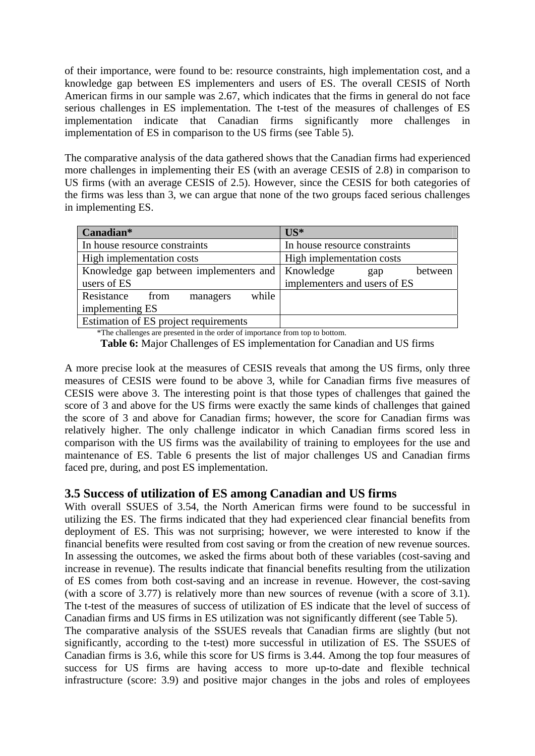of their importance, were found to be: resource constraints, high implementation cost, and a knowledge gap between ES implementers and users of ES. The overall CESIS of North American firms in our sample was 2.67, which indicates that the firms in general do not face serious challenges in ES implementation. The t-test of the measures of challenges of ES implementation indicate that Canadian firms significantly more challenges in implementation of ES in comparison to the US firms (see Table 5).

The comparative analysis of the data gathered shows that the Canadian firms had experienced more challenges in implementing their ES (with an average CESIS of 2.8) in comparison to US firms (with an average CESIS of 2.5). However, since the CESIS for both categories of the firms was less than 3, we can argue that none of the two groups faced serious challenges in implementing ES.

| Canadian*                               | $US^*$                        |  |  |  |
|-----------------------------------------|-------------------------------|--|--|--|
| In house resource constraints           | In house resource constraints |  |  |  |
| High implementation costs               | High implementation costs     |  |  |  |
| Knowledge gap between implementers and  | Knowledge<br>between<br>gap   |  |  |  |
| users of ES                             | implementers and users of ES  |  |  |  |
| Resistance<br>while<br>from<br>managers |                               |  |  |  |
| implementing ES                         |                               |  |  |  |
| Estimation of ES project requirements   |                               |  |  |  |

\*The challenges are presented in the order of importance from top to bottom.

**Table 6:** Major Challenges of ES implementation for Canadian and US firms

A more precise look at the measures of CESIS reveals that among the US firms, only three measures of CESIS were found to be above 3, while for Canadian firms five measures of CESIS were above 3. The interesting point is that those types of challenges that gained the score of 3 and above for the US firms were exactly the same kinds of challenges that gained the score of 3 and above for Canadian firms; however, the score for Canadian firms was relatively higher. The only challenge indicator in which Canadian firms scored less in comparison with the US firms was the availability of training to employees for the use and maintenance of ES. Table 6 presents the list of major challenges US and Canadian firms faced pre, during, and post ES implementation.

#### **3.5 Success of utilization of ES among Canadian and US firms**

With overall SSUES of 3.54, the North American firms were found to be successful in utilizing the ES. The firms indicated that they had experienced clear financial benefits from deployment of ES. This was not surprising; however, we were interested to know if the financial benefits were resulted from cost saving or from the creation of new revenue sources. In assessing the outcomes, we asked the firms about both of these variables (cost-saving and increase in revenue). The results indicate that financial benefits resulting from the utilization of ES comes from both cost-saving and an increase in revenue. However, the cost-saving (with a score of 3.77) is relatively more than new sources of revenue (with a score of 3.1). The t-test of the measures of success of utilization of ES indicate that the level of success of Canadian firms and US firms in ES utilization was not significantly different (see Table 5).

The comparative analysis of the SSUES reveals that Canadian firms are slightly (but not significantly, according to the t-test) more successful in utilization of ES. The SSUES of Canadian firms is 3.6, while this score for US firms is 3.44. Among the top four measures of success for US firms are having access to more up-to-date and flexible technical infrastructure (score: 3.9) and positive major changes in the jobs and roles of employees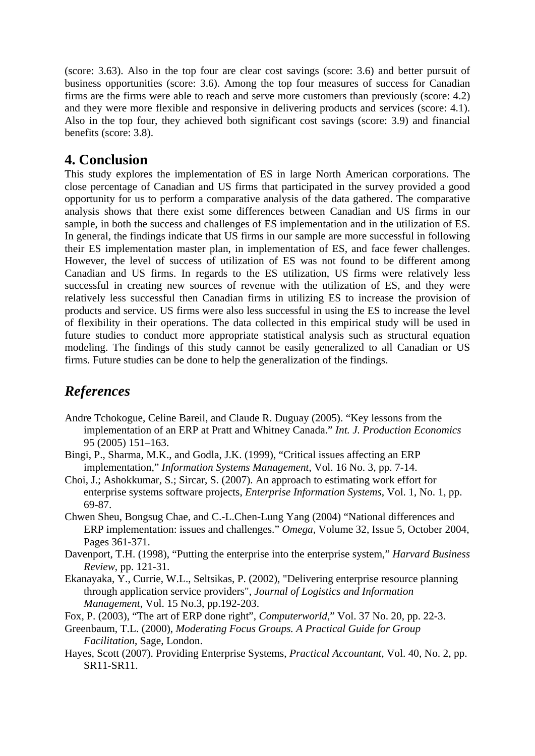(score: 3.63). Also in the top four are clear cost savings (score: 3.6) and better pursuit of business opportunities (score: 3.6). Among the top four measures of success for Canadian firms are the firms were able to reach and serve more customers than previously (score: 4.2) and they were more flexible and responsive in delivering products and services (score: 4.1). Also in the top four, they achieved both significant cost savings (score: 3.9) and financial benefits (score: 3.8).

## **4. Conclusion**

This study explores the implementation of ES in large North American corporations. The close percentage of Canadian and US firms that participated in the survey provided a good opportunity for us to perform a comparative analysis of the data gathered. The comparative analysis shows that there exist some differences between Canadian and US firms in our sample, in both the success and challenges of ES implementation and in the utilization of ES. In general, the findings indicate that US firms in our sample are more successful in following their ES implementation master plan, in implementation of ES, and face fewer challenges. However, the level of success of utilization of ES was not found to be different among Canadian and US firms. In regards to the ES utilization, US firms were relatively less successful in creating new sources of revenue with the utilization of ES, and they were relatively less successful then Canadian firms in utilizing ES to increase the provision of products and service. US firms were also less successful in using the ES to increase the level of flexibility in their operations. The data collected in this empirical study will be used in future studies to conduct more appropriate statistical analysis such as structural equation modeling. The findings of this study cannot be easily generalized to all Canadian or US firms. Future studies can be done to help the generalization of the findings.

## *References*

- Andre Tchokogue, Celine Bareil, and Claude R. Duguay (2005). "Key lessons from the implementation of an ERP at Pratt and Whitney Canada." *Int. J. Production Economics* 95 (2005) 151–163.
- Bingi, P., Sharma, M.K., and Godla, J.K. (1999), "Critical issues affecting an ERP implementation," *Information Systems Management*, Vol. 16 No. 3, pp. 7-14.
- Choi, J.; Ashokkumar, S.; Sircar, S. (2007). An approach to estimating work effort for enterprise systems software projects, *Enterprise Information Systems*, Vol. 1, No. 1, pp. 69-87.
- Chwen Sheu, Bongsug Chae, and C.-L.Chen-Lung Yang (2004) "National differences and ERP implementation: issues and challenges." *Omega,* Volume 32, Issue 5, October 2004, Pages 361-371.
- Davenport, T.H. (1998), "Putting the enterprise into the enterprise system," *Harvard Business Review*, pp. 121-31.
- Ekanayaka, Y., Currie, W.L., Seltsikas, P. (2002), "Delivering enterprise resource planning through application service providers", *Journal of Logistics and Information Management*, Vol. 15 No.3, pp.192-203.

Fox, P. (2003), "The art of ERP done right", *Computerworld*," Vol. 37 No. 20, pp. 22-3.

- Greenbaum, T.L. (2000), *Moderating Focus Groups. A Practical Guide for Group Facilitation*, Sage, London.
- Hayes, Scott (2007). Providing Enterprise Systems, *Practical Accountant*, Vol. 40, No. 2, pp. SR11-SR11.